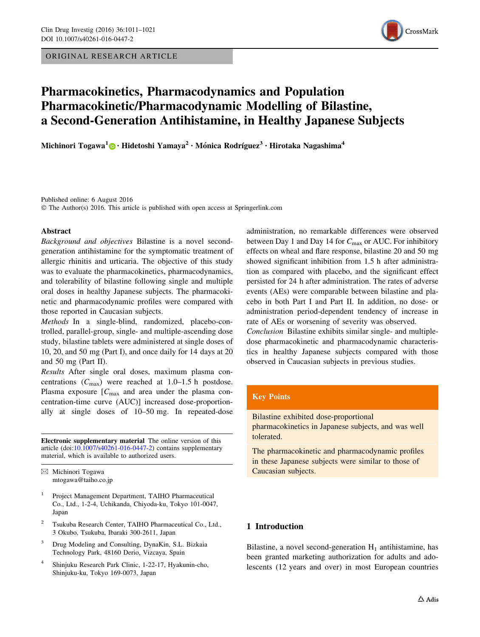ORIGINAL RESEARCH ARTICLE



# Pharmacokinetics, Pharmacodynamics and Population Pharmacokinetic/Pharmacodynamic Modelling of Bilastine, a Second-Generation Antihistamine, in Healthy Japanese Subjects

Michinori Togawa<sup>1</sup> • Hidetoshi Yamaya<sup>2</sup> • Mónica Rodríguez<sup>3</sup> • Hirotaka Nagashima<sup>4</sup>

Published online: 6 August 2016 © The Author(s) 2016. This article is published with open access at Springerlink.com

## Abstract

Background and objectives Bilastine is a novel secondgeneration antihistamine for the symptomatic treatment of allergic rhinitis and urticaria. The objective of this study was to evaluate the pharmacokinetics, pharmacodynamics, and tolerability of bilastine following single and multiple oral doses in healthy Japanese subjects. The pharmacokinetic and pharmacodynamic profiles were compared with those reported in Caucasian subjects.

Methods In a single-blind, randomized, placebo-controlled, parallel-group, single- and multiple-ascending dose study, bilastine tablets were administered at single doses of 10, 20, and 50 mg (Part I), and once daily for 14 days at 20 and 50 mg (Part II).

Results After single oral doses, maximum plasma concentrations  $(C_{\text{max}})$  were reached at 1.0–1.5 h postdose. Plasma exposure  $[C_{\text{max}}]$  and area under the plasma concentration-time curve (AUC)] increased dose-proportionally at single doses of 10–50 mg. In repeated-dose

Electronic supplementary material The online version of this article (doi:[10.1007/s40261-016-0447-2\)](http://dx.doi.org/10.1007/s40261-016-0447-2) contains supplementary material, which is available to authorized users.

 $\boxtimes$  Michinori Togawa mtogawa@taiho.co.jp

- Project Management Department, TAIHO Pharmaceutical Co., Ltd., 1-2-4, Uchikanda, Chiyoda-ku, Tokyo 101-0047, Japan
- <sup>2</sup> Tsukuba Research Center, TAIHO Pharmaceutical Co., Ltd., 3 Okubo, Tsukuba, Ibaraki 300-2611, Japan
- <sup>3</sup> Drug Modeling and Consulting, DynaKin, S.L. Bizkaia Technology Park, 48160 Derio, Vizcaya, Spain
- <sup>4</sup> Shinjuku Research Park Clinic, 1-22-17, Hyakunin-cho, Shinjuku-ku, Tokyo 169-0073, Japan

administration, no remarkable differences were observed between Day 1 and Day 14 for  $C_{\text{max}}$  or AUC. For inhibitory effects on wheal and flare response, bilastine 20 and 50 mg showed significant inhibition from 1.5 h after administration as compared with placebo, and the significant effect persisted for 24 h after administration. The rates of adverse events (AEs) were comparable between bilastine and placebo in both Part I and Part II. In addition, no dose- or administration period-dependent tendency of increase in rate of AEs or worsening of severity was observed.

Conclusion Bilastine exhibits similar single- and multipledose pharmacokinetic and pharmacodynamic characteristics in healthy Japanese subjects compared with those observed in Caucasian subjects in previous studies.

# Key Points

Bilastine exhibited dose-proportional pharmacokinetics in Japanese subjects, and was well tolerated.

The pharmacokinetic and pharmacodynamic profiles in these Japanese subjects were similar to those of Caucasian subjects.

# 1 Introduction

Bilastine, a novel second-generation  $H_1$  antihistamine, has been granted marketing authorization for adults and adolescents (12 years and over) in most European countries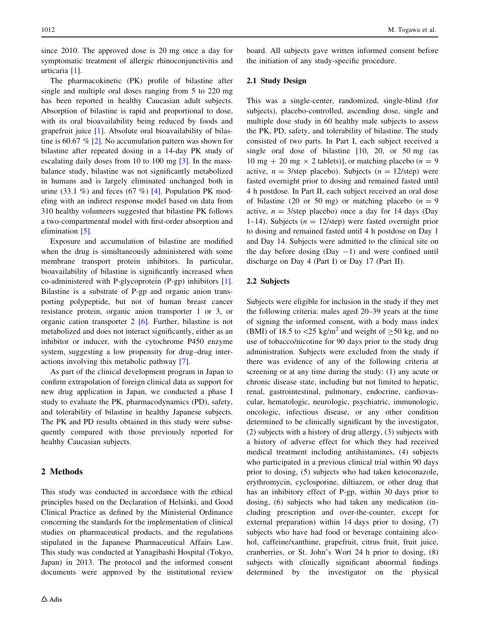since 2010. The approved dose is 20 mg once a day for symptomatic treatment of allergic rhinoconjunctivitis and urticaria [\[1](#page-10-0)].

The pharmacokinetic (PK) profile of bilastine after single and multiple oral doses ranging from 5 to 220 mg has been reported in healthy Caucasian adult subjects. Absorption of bilastine is rapid and proportional to dose, with its oral bioavailability being reduced by foods and grapefruit juice [\[1](#page-10-0)]. Absolute oral bioavailability of bilastine is 60.67 % [\[2](#page-10-0)]. No accumulation pattern was shown for bilastine after repeated dosing in a 14-day PK study of escalating daily doses from 10 to 100 mg [[3\]](#page-10-0). In the massbalance study, bilastine was not significantly metabolized in humans and is largely eliminated unchanged both in urine  $(33.1\%)$  and feces  $(67\%)$  [[4\]](#page-10-0). Population PK modeling with an indirect response model based on data from 310 healthy volunteers suggested that bilastine PK follows a two-compartmental model with first-order absorption and elimination [\[5](#page-10-0)].

Exposure and accumulation of bilastine are modified when the drug is simultaneously administered with some membrane transport protein inhibitors. In particular, bioavailability of bilastine is significantly increased when co-administered with P-glycoprotein (P-gp) inhibitors [\[1](#page-10-0)]. Bilastine is a substrate of P-gp and organic anion transporting polypeptide, but not of human breast cancer resistance protein, organic anion transporter 1 or 3, or organic cation transporter 2 [\[6](#page-10-0)]. Further, bilastine is not metabolized and does not interact significantly, either as an inhibitor or inducer, with the cytochrome P450 enzyme system, suggesting a low propensity for drug–drug interactions involving this metabolic pathway [[7\]](#page-10-0).

As part of the clinical development program in Japan to confirm extrapolation of foreign clinical data as support for new drug application in Japan, we conducted a phase I study to evaluate the PK, pharmacodynamics (PD), safety, and tolerability of bilastine in healthy Japanese subjects. The PK and PD results obtained in this study were subsequently compared with those previously reported for healthy Caucasian subjects.

## 2 Methods

This study was conducted in accordance with the ethical principles based on the Declaration of Helsinki, and Good Clinical Practice as defined by the Ministerial Ordinance concerning the standards for the implementation of clinical studies on pharmaceutical products, and the regulations stipulated in the Japanese Pharmaceutical Affairs Law. This study was conducted at Yanagibashi Hospital (Tokyo, Japan) in 2013. The protocol and the informed consent documents were approved by the institutional review board. All subjects gave written informed consent before the initiation of any study-specific procedure.

## 2.1 Study Design

This was a single-center, randomized, single-blind (for subjects), placebo-controlled, ascending dose, single and multiple dose study in 60 healthy male subjects to assess the PK, PD, safety, and tolerability of bilastine. The study consisted of two parts. In Part I, each subject received a single oral dose of bilastine [10, 20, or 50 mg (as 10 mg + 20 mg  $\times$  2 tablets)], or matching placebo (*n* = 9 active,  $n = 3$ /step placebo). Subjects ( $n = 12$ /step) were fasted overnight prior to dosing and remained fasted until 4 h postdose. In Part II, each subject received an oral dose of bilastine (20 or 50 mg) or matching placebo ( $n = 9$ ) active,  $n = 3$ /step placebo) once a day for 14 days (Day 1–14). Subjects ( $n = 12$ /step) were fasted overnight prior to dosing and remained fasted until 4 h postdose on Day 1 and Day 14. Subjects were admitted to the clinical site on the day before dosing  $(Day -1)$  and were confined until discharge on Day 4 (Part I) or Day 17 (Part II).

# 2.2 Subjects

Subjects were eligible for inclusion in the study if they met the following criteria: males aged 20–39 years at the time of signing the informed consent, with a body mass index (BMI) of 18.5 to  $\langle 25 \text{ kg/m}^2$  and weight of  $\geq 50$  kg, and no use of tobacco/nicotine for 90 days prior to the study drug administration. Subjects were excluded from the study if there was evidence of any of the following criteria at screening or at any time during the study: (1) any acute or chronic disease state, including but not limited to hepatic, renal, gastrointestinal, pulmonary, endocrine, cardiovascular, hematologic, neurologic, psychiatric, immunologic, oncologic, infectious disease, or any other condition determined to be clinically significant by the investigator, (2) subjects with a history of drug allergy, (3) subjects with a history of adverse effect for which they had received medical treatment including antihistamines, (4) subjects who participated in a previous clinical trial within 90 days prior to dosing, (5) subjects who had taken ketoconazole, erythromycin, cyclosporine, diltiazem, or other drug that has an inhibitory effect of P-gp, within 30 days prior to dosing, (6) subjects who had taken any medication (including prescription and over-the-counter, except for external preparation) within 14 days prior to dosing, (7) subjects who have had food or beverage containing alcohol, caffeine/xanthine, grapefruit, citrus fruit, fruit juice, cranberries, or St. John's Wort 24 h prior to dosing, (8) subjects with clinically significant abnormal findings determined by the investigator on the physical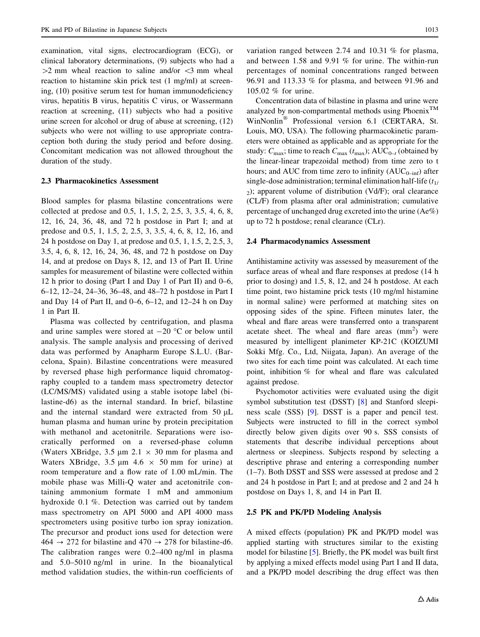examination, vital signs, electrocardiogram (ECG), or clinical laboratory determinations, (9) subjects who had a  $>2$  mm wheal reaction to saline and/or  $<$ 3 mm wheal reaction to histamine skin prick test (1 mg/ml) at screening, (10) positive serum test for human immunodeficiency virus, hepatitis B virus, hepatitis C virus, or Wassermann reaction at screening, (11) subjects who had a positive urine screen for alcohol or drug of abuse at screening, (12) subjects who were not willing to use appropriate contraception both during the study period and before dosing. Concomitant medication was not allowed throughout the duration of the study.

#### 2.3 Pharmacokinetics Assessment

Blood samples for plasma bilastine concentrations were collected at predose and 0.5, 1, 1.5, 2, 2.5, 3, 3.5, 4, 6, 8, 12, 16, 24, 36, 48, and 72 h postdose in Part I; and at predose and 0.5, 1, 1.5, 2, 2.5, 3, 3.5, 4, 6, 8, 12, 16, and 24 h postdose on Day 1, at predose and 0.5, 1, 1.5, 2, 2.5, 3, 3.5, 4, 6, 8, 12, 16, 24, 36, 48, and 72 h postdose on Day 14, and at predose on Days 8, 12, and 13 of Part II. Urine samples for measurement of bilastine were collected within 12 h prior to dosing (Part I and Day 1 of Part II) and 0–6, 6–12, 12–24, 24–36, 36–48, and 48–72 h postdose in Part I and Day 14 of Part II, and 0–6, 6–12, and 12–24 h on Day 1 in Part II.

Plasma was collected by centrifugation, and plasma and urine samples were stored at  $-20$  °C or below until analysis. The sample analysis and processing of derived data was performed by Anapharm Europe S.L.U. (Barcelona, Spain). Bilastine concentrations were measured by reversed phase high performance liquid chromatography coupled to a tandem mass spectrometry detector (LC/MS/MS) validated using a stable isotope label (bilastine-d6) as the internal standard. In brief, bilastine and the internal standard were extracted from  $50 \mu L$ human plasma and human urine by protein precipitation with methanol and acetonitrile. Separations were isocratically performed on a reversed-phase column (Waters XBridge, 3.5  $\mu$ m 2.1  $\times$  30 mm for plasma and Waters XBridge, 3.5  $\mu$ m 4.6  $\times$  50 mm for urine) at room temperature and a flow rate of 1.00 mL/min. The mobile phase was Milli-Q water and acetonitrile containing ammonium formate 1 mM and ammonium hydroxide 0.1 %. Detection was carried out by tandem mass spectrometry on API 5000 and API 4000 mass spectrometers using positive turbo ion spray ionization. The precursor and product ions used for detection were  $464 \rightarrow 272$  for bilastine and  $470 \rightarrow 278$  for bilastine-d6. The calibration ranges were 0.2–400 ng/ml in plasma and 5.0–5010 ng/ml in urine. In the bioanalytical method validation studies, the within-run coefficients of

variation ranged between 2.74 and 10.31 % for plasma, and between 1.58 and 9.91 % for urine. The within-run percentages of nominal concentrations ranged between 96.91 and 113.33 % for plasma, and between 91.96 and 105.02 % for urine.

Concentration data of bilastine in plasma and urine were analyzed by non-compartmental methods using Phoenix<sup>TM</sup> WinNonlin<sup>®</sup> Professional version 6.1 (CERTARA, St. Louis, MO, USA). The following pharmacokinetic parameters were obtained as applicable and as appropriate for the study:  $C_{\text{max}}$ ; time to reach  $C_{\text{max}}$  ( $t_{\text{max}}$ ); AUC<sub>0-t</sub> (obtained by the linear-linear trapezoidal method) from time zero to t hours; and AUC from time zero to infinity  $(AUC_{0-inf})$  after single-dose administration; terminal elimination half-life  $(t<sub>1</sub>/t<sub>1</sub>)$ 2); apparent volume of distribution (Vd/F); oral clearance (CL/F) from plasma after oral administration; cumulative percentage of unchanged drug excreted into the urine (Ae%) up to 72 h postdose; renal clearance (CLr).

#### 2.4 Pharmacodynamics Assessment

Antihistamine activity was assessed by measurement of the surface areas of wheal and flare responses at predose (14 h prior to dosing) and 1.5, 8, 12, and 24 h postdose. At each time point, two histamine prick tests (10 mg/ml histamine in normal saline) were performed at matching sites on opposing sides of the spine. Fifteen minutes later, the wheal and flare areas were transferred onto a transparent acetate sheet. The wheal and flare areas  $(nm<sup>2</sup>)$  were measured by intelligent planimeter KP-21C (KOIZUMI Sokki Mfg. Co., Ltd, Niigata, Japan). An average of the two sites for each time point was calculated. At each time point, inhibition % for wheal and flare was calculated against predose.

Psychomotor activities were evaluated using the digit symbol substitution test (DSST) [[8\]](#page-10-0) and Stanford sleepiness scale (SSS) [[9\]](#page-10-0). DSST is a paper and pencil test. Subjects were instructed to fill in the correct symbol directly below given digits over 90 s. SSS consists of statements that describe individual perceptions about alertness or sleepiness. Subjects respond by selecting a descriptive phrase and entering a corresponding number (1–7). Both DSST and SSS were assessed at predose and 2 and 24 h postdose in Part I; and at predose and 2 and 24 h postdose on Days 1, 8, and 14 in Part II.

#### 2.5 PK and PK/PD Modeling Analysis

A mixed effects (population) PK and PK/PD model was applied starting with structures similar to the existing model for bilastine [\[5](#page-10-0)]. Briefly, the PK model was built first by applying a mixed effects model using Part I and II data, and a PK/PD model describing the drug effect was then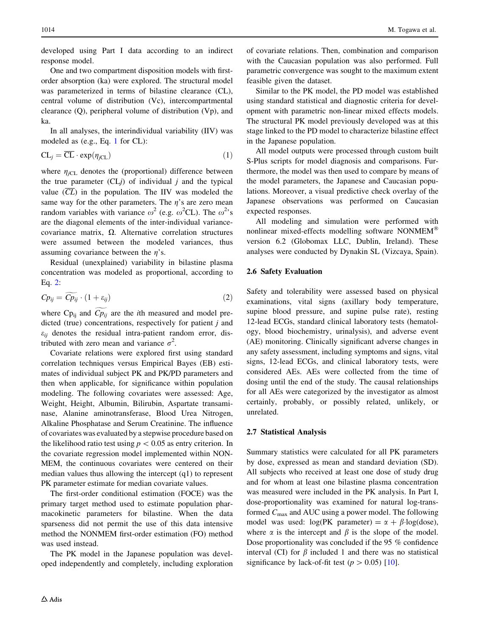developed using Part I data according to an indirect response model.

One and two compartment disposition models with firstorder absorption (ka) were explored. The structural model was parameterized in terms of bilastine clearance (CL), central volume of distribution (Vc), intercompartmental clearance (Q), peripheral volume of distribution (Vp), and ka.

In all analyses, the interindividual variability (IIV) was modeled as (e.g., Eq. 1 for CL):

$$
CL_j = \overline{CL} \cdot \exp(\eta_{jCL})
$$
 (1)

where  $\eta_{iCL}$  denotes the (proportional) difference between the true parameter  $(CLj)$  of individual j and the typical value  $(\overline{CL})$  in the population. The IIV was modeled the same way for the other parameters. The  $\eta$ 's are zero mean random variables with variance  $\omega^2$  (e.g.  $\omega^2$ CL). The  $\omega^2$ 's are the diagonal elements of the inter-individual variancecovariance matrix,  $\Omega$ . Alternative correlation structures were assumed between the modeled variances, thus assuming covariance between the  $n$ 's.

Residual (unexplained) variability in bilastine plasma concentration was modeled as proportional, according to Eq. 2:

$$
C p_{ij} = \widetilde{C p_{ij}} \cdot (1 + \varepsilon_{ij}) \tag{2}
$$

where Cp<sub>ij</sub> and  $\widetilde{Cp_{ij}}$  are the *i*th measured and model predicted (true) concentrations, respectively for patient j and  $\varepsilon_{ii}$  denotes the residual intra-patient random error, distributed with zero mean and variance  $\sigma^2$ .

Covariate relations were explored first using standard correlation techniques versus Empirical Bayes (EB) estimates of individual subject PK and PK/PD parameters and then when applicable, for significance within population modeling. The following covariates were assessed: Age, Weight, Height, Albumin, Bilirubin, Aspartate transaminase, Alanine aminotransferase, Blood Urea Nitrogen, Alkaline Phosphatase and Serum Creatinine. The influence of covariates was evaluated by a stepwise procedure based on the likelihood ratio test using  $p < 0.05$  as entry criterion. In the covariate regression model implemented within NON-MEM, the continuous covariates were centered on their median values thus allowing the intercept (q1) to represent PK parameter estimate for median covariate values.

The first-order conditional estimation (FOCE) was the primary target method used to estimate population pharmacokinetic parameters for bilastine. When the data sparseness did not permit the use of this data intensive method the NONMEM first-order estimation (FO) method was used instead.

The PK model in the Japanese population was developed independently and completely, including exploration

 $\triangle$  Adis

of covariate relations. Then, combination and comparison with the Caucasian population was also performed. Full parametric convergence was sought to the maximum extent feasible given the dataset.

Similar to the PK model, the PD model was established using standard statistical and diagnostic criteria for development with parametric non-linear mixed effects models. The structural PK model previously developed was at this stage linked to the PD model to characterize bilastine effect in the Japanese population.

All model outputs were processed through custom built S-Plus scripts for model diagnosis and comparisons. Furthermore, the model was then used to compare by means of the model parameters, the Japanese and Caucasian populations. Moreover, a visual predictive check overlay of the Japanese observations was performed on Caucasian expected responses.

All modeling and simulation were performed with nonlinear mixed-effects modelling software NONMEM version 6.2 (Globomax LLC, Dublin, Ireland). These analyses were conducted by Dynakin SL (Vizcaya, Spain).

# 2.6 Safety Evaluation

Safety and tolerability were assessed based on physical examinations, vital signs (axillary body temperature, supine blood pressure, and supine pulse rate), resting 12-lead ECGs, standard clinical laboratory tests (hematology, blood biochemistry, urinalysis), and adverse event (AE) monitoring. Clinically significant adverse changes in any safety assessment, including symptoms and signs, vital signs, 12-lead ECGs, and clinical laboratory tests, were considered AEs. AEs were collected from the time of dosing until the end of the study. The causal relationships for all AEs were categorized by the investigator as almost certainly, probably, or possibly related, unlikely, or unrelated.

# 2.7 Statistical Analysis

Summary statistics were calculated for all PK parameters by dose, expressed as mean and standard deviation (SD). All subjects who received at least one dose of study drug and for whom at least one bilastine plasma concentration was measured were included in the PK analysis. In Part I, dose-proportionality was examined for natural log-transformed  $C_{\text{max}}$  and AUC using a power model. The following model was used:  $log(PK$  parameter) =  $\alpha + \beta$ -log(dose), where  $\alpha$  is the intercept and  $\beta$  is the slope of the model. Dose proportionality was concluded if the 95 % confidence interval (CI) for  $\beta$  included 1 and there was no statistical significance by lack-of-fit test ( $p > 0.05$ ) [\[10](#page-10-0)].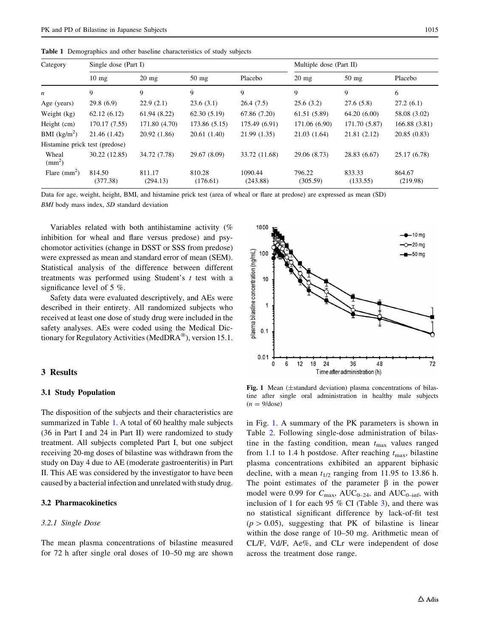|  | <b>Table 1</b> Demographics and other baseline characteristics of study subjects |  |  |  |
|--|----------------------------------------------------------------------------------|--|--|--|
|--|----------------------------------------------------------------------------------|--|--|--|

| Category                       | Single dose (Part I) |                    |                    | Multiple dose (Part II) |                    |                    |                    |
|--------------------------------|----------------------|--------------------|--------------------|-------------------------|--------------------|--------------------|--------------------|
|                                | $10 \text{ mg}$      | $20 \text{ mg}$    | $50 \text{ mg}$    | Placebo                 | $20 \text{ mg}$    | $50 \text{ mg}$    | Placebo            |
| n                              | 9                    | 9                  | 9                  | 9                       | 9                  | 9                  | 6                  |
| Age (years)                    | 29.8(6.9)            | 22.9(2.1)          | 23.6(3.1)          | 26.4(7.5)               | 25.6(3.2)          | 27.6(5.8)          | 27.2(6.1)          |
| Weight (kg)                    | 62.12(6.12)          | 61.94(8.22)        | 62.30(5.19)        | 67.86 (7.20)            | 61.51 (5.89)       | 64.20(6.00)        | 58.08 (3.02)       |
| Height (cm)                    | 170.17 (7.55)        | 171.80 (4.70)      | 173.86 (5.15)      | 175.49 (6.91)           | 171.06 (6.90)      | 171.70 (5.87)      | 166.88 (3.81)      |
| BMI $(kg/m^2)$                 | 21.46 (1.42)         | 20.92(1.86)        | 20.61(1.40)        | 21.99(1.35)             | 21.03(1.64)        | 21.81 (2.12)       | 20.85(0.83)        |
| Histamine prick test (predose) |                      |                    |                    |                         |                    |                    |                    |
| Wheal<br>$\text{mm}^2$ )       | 30.22 (12.85)        | 34.72 (7.78)       | 29.67 (8.09)       | 33.72 (11.68)           | 29.06 (8.73)       | 28.83 (6.67)       | 25.17 (6.78)       |
| Flare $\text{(mm)}^2$          | 814.50<br>(377.38)   | 811.17<br>(294.13) | 810.28<br>(176.61) | 1090.44<br>(243.88)     | 796.22<br>(305.59) | 833.33<br>(133.55) | 864.67<br>(219.98) |

Data for age, weight, height, BMI, and histamine prick test (area of wheal or flare at predose) are expressed as mean (SD)

BMI body mass index, SD standard deviation

Variables related with both antihistamine activity (% inhibition for wheal and flare versus predose) and psychomotor activities (change in DSST or SSS from predose) were expressed as mean and standard error of mean (SEM). Statistical analysis of the difference between different treatments was performed using Student's t test with a significance level of 5 %.

Safety data were evaluated descriptively, and AEs were described in their entirety. All randomized subjects who received at least one dose of study drug were included in the safety analyses. AEs were coded using the Medical Dictionary for Regulatory Activities (MedDRA $^{\circledR}$ ), version 15.1.

## 3 Results

## 3.1 Study Population

The disposition of the subjects and their characteristics are summarized in Table 1. A total of 60 healthy male subjects (36 in Part I and 24 in Part II) were randomized to study treatment. All subjects completed Part I, but one subject receiving 20-mg doses of bilastine was withdrawn from the study on Day 4 due to AE (moderate gastroenteritis) in Part II. This AE was considered by the investigator to have been caused by a bacterial infection and unrelated with study drug.

#### 3.2 Pharmacokinetics

## 3.2.1 Single Dose

The mean plasma concentrations of bilastine measured for 72 h after single oral doses of 10–50 mg are shown



Fig. 1 Mean  $(\pm$ standard deviation) plasma concentrations of bilastine after single oral administration in healthy male subjects  $(n = 9/\text{dose})$ 

in Fig. 1. A summary of the PK parameters is shown in Table [2](#page-5-0). Following single-dose administration of bilastine in the fasting condition, mean  $t_{\text{max}}$  values ranged from 1.1 to 1.4 h postdose. After reaching  $t_{\text{max}}$ , bilastine plasma concentrations exhibited an apparent biphasic decline, with a mean  $t_{1/2}$  ranging from 11.95 to 13.86 h. The point estimates of the parameter  $\beta$  in the power model were 0.99 for  $C_{\text{max}}$ , AUC<sub>0–24</sub>, and AUC<sub>0–inf</sub>, with inclusion of 1 for each 95  $%$  CI (Table [3\)](#page-5-0), and there was no statistical significant difference by lack-of-fit test  $(p > 0.05)$ , suggesting that PK of bilastine is linear within the dose range of 10–50 mg. Arithmetic mean of CL/F, Vd/F, Ae%, and CLr were independent of dose across the treatment dose range.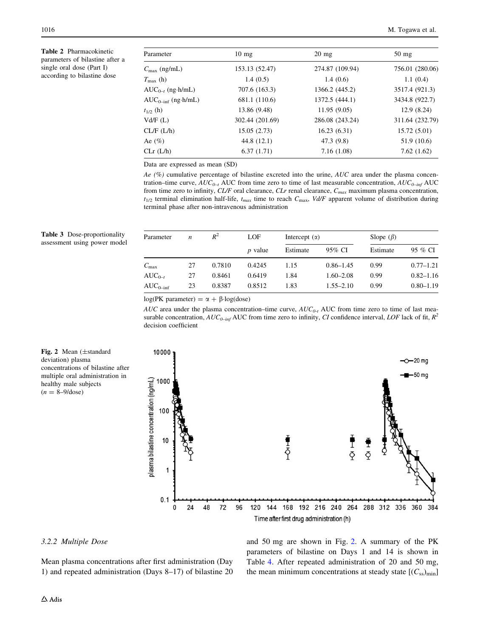<span id="page-5-0"></span>Table 2 Pharmacokinetic parameters of bilastine after a single oral dose (Part I) according to bilastine dose

| Parameter                | $10 \text{ mg}$ | $20 \text{ mg}$ | $50 \text{ mg}$ |
|--------------------------|-----------------|-----------------|-----------------|
| $C_{\text{max}}$ (ng/mL) | 153.13 (52.47)  | 274.87 (109.94) | 756.01 (280.06) |
| $T_{\rm max}$ (h)        | 1.4(0.5)        | 1.4(0.6)        | 1.1(0.4)        |
| $AUC_{0-t}$ (ng·h/mL)    | 707.6 (163.3)   | 1366.2 (445.2)  | 3517.4 (921.3)  |
| $AUC_{0-int}$ (ng·h/mL)  | 681.1 (110.6)   | 1372.5 (444.1)  | 3434.8 (922.7)  |
| $t_{1/2}$ (h)            | 13.86 (9.48)    | 11.95(9.05)     | 12.9(8.24)      |
| Vd/F(L)                  | 302.44 (201.69) | 286.08 (243.24) | 311.64 (232.79) |
| CL/F (L/h)               | 15.05(2.73)     | 16.23(6.31)     | 15.72(5.01)     |
| Ae (%)                   | 44.8 (12.1)     | 47.3 (9.8)      | 51.9 (10.6)     |
| CLr(L/h)                 | 6.37(1.71)      | 7.16(1.08)      | 7.62(1.62)      |

Data are expressed as mean (SD)

Ae  $(%)$  cumulative percentage of bilastine excreted into the urine, AUC area under the plasma concentration–time curve,  $AUC_{0-t}$  AUC from time zero to time of last measurable concentration,  $AUC_{0-int}$  AUC from time zero to infinity, CL/F oral clearance, CLr renal clearance,  $C_{max}$  maximum plasma concentration,  $t_{1/2}$  terminal elimination half-life,  $t_{max}$  time to reach  $C_{max}$ , Vd/F apparent volume of distribution during terminal phase after non-intravenous administration

| Parameter     | n  | $R^2$  | LOF            | Intercept $(\alpha)$ |               | Slope $(\beta)$ |               |
|---------------|----|--------|----------------|----------------------|---------------|-----------------|---------------|
|               |    |        | <i>p</i> value | Estimate             | 95% CI        | Estimate        | 95 % CI       |
| $C_{\rm max}$ | 27 | 0.7810 | 0.4245         | 1.15                 | $0.86 - 1.45$ | 0.99            | $0.77 - 1.21$ |
| $AUC_{0-r}$   | 27 | 0.8461 | 0.6419         | 1.84                 | $1.60 - 2.08$ | 0.99            | $0.82 - 1.16$ |
| $AUC_{0-int}$ | 23 | 0.8387 | 0.8512         | 1.83                 | $1.55 - 2.10$ | 0.99            | $0.80 - 1.19$ |

 $log(PK)$  parameter) =  $\alpha + \beta$ -log(dose)

AUC area under the plasma concentration–time curve,  $AUC_{0-t}$  AUC from time zero to time of last measurable concentration,  $AUC_{O-inf}$  AUC from time zero to infinity, CI confidence interval, LOF lack of fit,  $R^2$ decision coefficient



Table 3 Dose-proportionality assessment using power model



## 3.2.2 Multiple Dose

Mean plasma concentrations after first administration (Day 1) and repeated administration (Days 8–17) of bilastine 20 and 50 mg are shown in Fig. 2. A summary of the PK parameters of bilastine on Days 1 and 14 is shown in Table [4](#page-6-0). After repeated administration of 20 and 50 mg, the mean minimum concentrations at steady state  $[(C_{ss})_{min}]$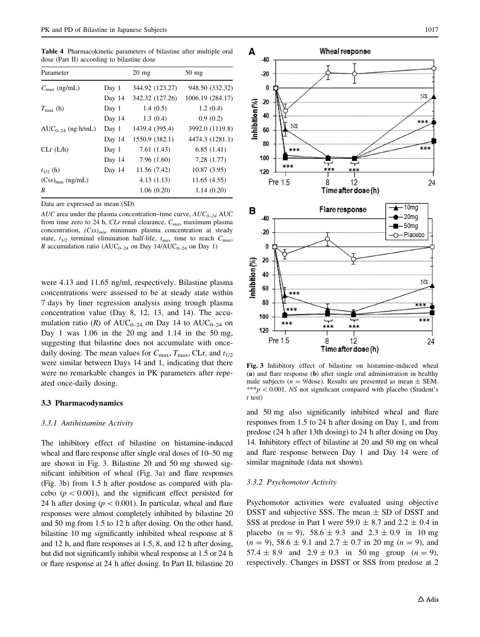<span id="page-6-0"></span>Table 4 Pharmacokinetic parameters of bilastine after multiple oral dose (Part II) according to bilastine dose

| Parameter                |        | $20 \text{ mg}$ | $50$ mg          |
|--------------------------|--------|-----------------|------------------|
| $C_{\text{max}}$ (ng/mL) | Day 1  | 344.92 (123.27) | 948.50 (332.32)  |
|                          | Day 14 | 342.32 (127.26) | 1006.19 (284.17) |
| $T_{\rm max}$ (h)        | Day 1  | 1.4(0.5)        | 1.2(0.4)         |
|                          | Day 14 | 1.3(0.4)        | 0.9(0.2)         |
| $AUC_{0-24}$ (ng·h/mL)   | Day 1  | 1439.4 (395.4)  | 3992.0 (1119.8)  |
|                          | Day 14 | 1550.9 (382.1)  | 4474.3 (1281.1)  |
| CLr(L/h)                 | Day 1  | 7.61(1.43)      | 6.85(1.41)       |
|                          | Day 14 | 7.96 (1.60)     | 7.28 (1.77)      |
| $t_{1/2}$ (h)            | Day 14 | 11.56 (7.42)    | 10.87(3.95)      |
| $(Css)_{\min}$ (ng/mL)   |        | 4.13(1.13)      | 11.65(4.55)      |
| R                        |        | 1.06(0.20)      | 1.14(0.20)       |

Data are expressed as mean (SD)

AUC area under the plasma concentration–time curve,  $AUC_{0-24}$  AUC from time zero to 24 h,  $CLr$  renal clearance,  $C_{max}$  maximum plasma concentration,  $(Css)_{min}$  minimum plasma concentration at steady state,  $t_{1/2}$  terminal elimination half-life,  $t_{max}$  time to reach  $C_{max}$ , R accumulation ratio ( $AUC_{0-24}$  on Day 14/ $AUC_{0-24}$  on Day 1)

were 4.13 and 11.65 ng/ml, respectively. Bilastine plasma concentrations were assessed to be at steady state within 7 days by liner regression analysis using trough plasma concentration value (Day 8, 12, 13, and 14). The accumulation ratio (R) of  $AUC_{0-24}$  on Day 14 to  $AUC_{0-24}$  on Day 1 was 1.06 in the 20 mg and 1.14 in the 50 mg, suggesting that bilastine does not accumulate with oncedaily dosing. The mean values for  $C_{\text{max}}$ ,  $T_{\text{max}}$ , CLr, and  $t_{1/2}$ were similar between Days 14 and 1, indicating that there were no remarkable changes in PK parameters after repeated once-daily dosing.

### 3.3 Pharmacodynamics

#### 3.3.1 Antihistamine Activity

The inhibitory effect of bilastine on histamine-induced wheal and flare response after single oral doses of 10–50 mg are shown in Fig. 3. Bilastine 20 and 50 mg showed significant inhibition of wheal (Fig. 3a) and flare responses (Fig. 3b) from 1.5 h after postdose as compared with placebo ( $p < 0.001$ ), and the significant effect persisted for 24 h after dosing ( $p < 0.001$ ). In particular, wheal and flare responses were almost completely inhibited by bilastine 20 and 50 mg from 1.5 to 12 h after dosing. On the other hand, bilastine 10 mg significantly inhibited wheal response at 8 and 12 h, and flare responses at 1.5, 8, and 12 h after dosing, but did not significantly inhibit wheal response at 1.5 or 24 h or flare response at 24 h after dosing. In Part II, bilastine 20



Fig. 3 Inhibitory effect of bilastine on histamine-induced wheal (a) and flare response (b) after single oral administration in healthy male subjects ( $n = 9$ /dose). Results are presented as mean  $\pm$  SEM.  $***p$  < 0.001. NS not significant compared with placebo (Student's t test)

and 50 mg also significantly inhibited wheal and flare responses from 1.5 to 24 h after dosing on Day 1, and from predose (24 h after 13th dosing) to 24 h after dosing on Day 14. Inhibitory effect of bilastine at 20 and 50 mg on wheal and flare response between Day 1 and Day 14 were of similar magnitude (data not shown).

## 3.3.2 Psychomotor Activity

Psychomotor activities were evaluated using objective DSST and subjective SSS. The mean  $\pm$  SD of DSST and SSS at predose in Part I were  $59.0 \pm 8.7$  and  $2.2 \pm 0.4$  in placebo  $(n = 9)$ ,  $58.6 \pm 9.3$  and  $2.3 \pm 0.9$  in 10 mg  $(n = 9)$ , 58.6  $\pm$  9.1 and 2.7  $\pm$  0.7 in 20 mg  $(n = 9)$ , and 57.4  $\pm$  8.9 and 2.9  $\pm$  0.3 in 50 mg group (n = 9), respectively. Changes in DSST or SSS from predose at 2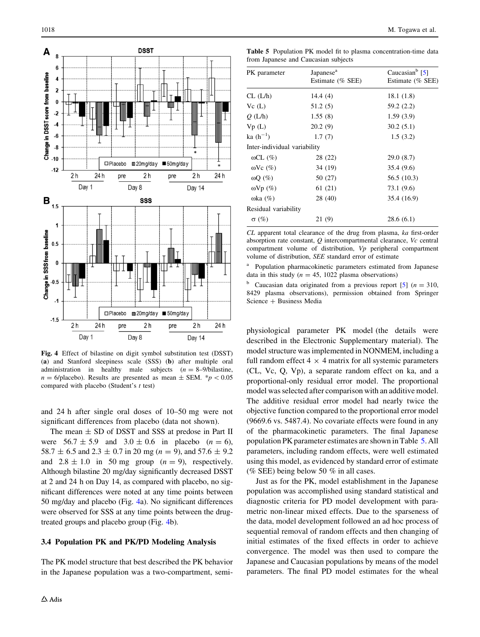<span id="page-7-0"></span>

Fig. 4 Effect of bilastine on digit symbol substitution test (DSST) (a) and Stanford sleepiness scale (SSS) (b) after multiple oral administration in healthy male subjects  $(n = 8-9/b$ ilastine,  $n = 6$ /placebo). Results are presented as mean  $\pm$  SEM.  $*p < 0.05$ compared with placebo (Student's t test)

and 24 h after single oral doses of 10–50 mg were not significant differences from placebo (data not shown).

The mean  $\pm$  SD of DSST and SSS at predose in Part II were  $56.7 \pm 5.9$  and  $3.0 \pm 0.6$  in placebo  $(n = 6)$ , 58.7  $\pm$  6.5 and 2.3  $\pm$  0.7 in 20 mg (n = 9), and 57.6  $\pm$  9.2 and  $2.8 \pm 1.0$  in 50 mg group ( $n = 9$ ), respectively. Although bilastine 20 mg/day significantly decreased DSST at 2 and 24 h on Day 14, as compared with placebo, no significant differences were noted at any time points between 50 mg/day and placebo (Fig. 4a). No significant differences were observed for SSS at any time points between the drugtreated groups and placebo group (Fig. 4b).

## 3.4 Population PK and PK/PD Modeling Analysis

The PK model structure that best described the PK behavior in the Japanese population was a two-compartment, semi-

Table 5 Population PK model fit to plasma concentration-time data from Japanese and Caucasian subjects

| PK parameter                 | Japanese <sup>a</sup><br>Estimate (% SEE) | Caucasian $b$ [5]<br>Estimate (% SEE) |
|------------------------------|-------------------------------------------|---------------------------------------|
| CL (L/h)                     | 14.4 $(4)$                                | 18.1 (1.8)                            |
| Vc(L)                        | 51.2(5)                                   | 59.2 (2.2)                            |
| Q(L/h)                       | 1.55(8)                                   | 1.59(3.9)                             |
| Vp(L)                        | 20.2(9)                                   | 30.2(5.1)                             |
| ka $(h^{-1})$                | 1.7(7)                                    | 1.5(3.2)                              |
| Inter-individual variability |                                           |                                       |
| $\omega CL$ (%)              | 28 (22)                                   | 29.0 (8.7)                            |
| $\omega$ Vc $(\%)$           | 34 (19)                                   | 35.4 (9.6)                            |
| $\omega Q$ (%)               | 50 (27)                                   | 56.5 (10.3)                           |
| $\omega Vp(\%)$              | 61 (21)                                   | 73.1 (9.6)                            |
| $\omega$ ka $(\%)$           | 28 (40)                                   | 35.4 (16.9)                           |
| Residual variability         |                                           |                                       |
| $\sigma$ (%)                 | 21 (9)                                    | 28.6(6.1)                             |

CL apparent total clearance of the drug from plasma, ka first-order absorption rate constant,  $\ddot{o}$  intercompartmental clearance,  $Vc$  central compartment volume of distribution, Vp peripheral compartment volume of distribution, SEE standard error of estimate

Population pharmacokinetic parameters estimated from Japanese data in this study ( $n = 45$ , 1022 plasma observations)

<sup>b</sup> Caucasian data originated from a previous report [\[5\]](#page-10-0) ( $n = 310$ , 8429 plasma observations), permission obtained from Springer Science + Business Media

physiological parameter PK model (the details were described in the Electronic Supplementary material). The model structure was implemented in NONMEM, including a full random effect  $4 \times 4$  matrix for all systemic parameters (CL, Vc, Q, Vp), a separate random effect on ka, and a proportional-only residual error model. The proportional model was selected after comparison with an additive model. The additive residual error model had nearly twice the objective function compared to the proportional error model (9669.6 vs. 5487.4). No covariate effects were found in any of the pharmacokinetic parameters. The final Japanese population PK parameter estimates are shown in Table 5. All parameters, including random effects, were well estimated using this model, as evidenced by standard error of estimate (% SEE) being below 50 % in all cases.

Just as for the PK, model establishment in the Japanese population was accomplished using standard statistical and diagnostic criteria for PD model development with parametric non-linear mixed effects. Due to the sparseness of the data, model development followed an ad hoc process of sequential removal of random effects and then changing of initial estimates of the fixed effects in order to achieve convergence. The model was then used to compare the Japanese and Caucasian populations by means of the model parameters. The final PD model estimates for the wheal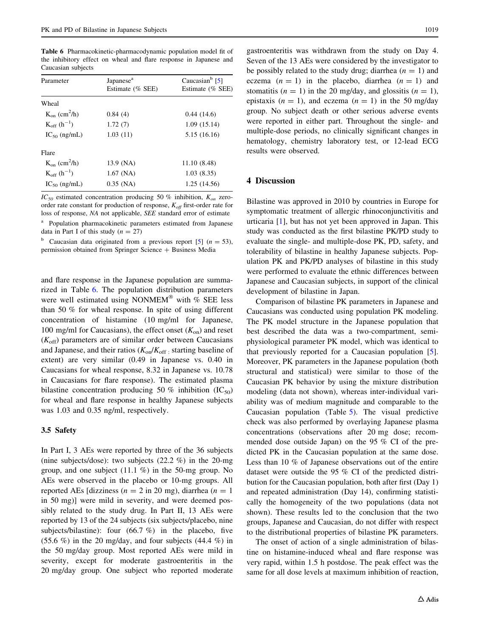Table 6 Pharmacokinetic-pharmacodynamic population model fit of the inhibitory effect on wheal and flare response in Japanese and Caucasian subjects

| Parameter                         | Japanese <sup>a</sup><br>Estimate (% SEE) | Caucasian $b$ [5]<br>Estimate (% SEE) |
|-----------------------------------|-------------------------------------------|---------------------------------------|
| Wheal                             |                                           |                                       |
| $K_{on}$ (cm <sup>2</sup> /h)     | 0.84(4)                                   | 0.44(14.6)                            |
| $K_{off}$ (h <sup>-1</sup> )      | 1.72(7)                                   | 1.09(15.14)                           |
| $IC_{50}$ (ng/mL)                 | 1.03(11)                                  | 5.15 (16.16)                          |
| Flare                             |                                           |                                       |
| $K_{\rm on}$ (cm <sup>2</sup> /h) | 13.9 (NA)                                 | 11.10 (8.48)                          |
| $K_{off}$ (h <sup>-1</sup> )      | $1.67$ (NA)                               | 1.03(8.35)                            |
| $IC_{50}$ (ng/mL)                 | $0.35$ (NA)                               | 1.25(14.56)                           |

 $IC_{50}$  estimated concentration producing 50 % inhibition,  $K_{on}$  zeroorder rate constant for production of response,  $K_{off}$  first-order rate for loss of response, NA not applicable, SEE standard error of estimate <sup>a</sup> Population pharmacokinetic parameters estimated from Japanese data in Part I of this study  $(n = 27)$ 

<sup>b</sup> Caucasian data originated from a previous report [\[5\]](#page-10-0)  $(n = 53)$ , permission obtained from Springer Science + Business Media

and flare response in the Japanese population are summarized in Table 6. The population distribution parameters were well estimated using NONMEM® with % SEE less than 50 % for wheal response. In spite of using different concentration of histamine (10 mg/ml for Japanese, 100 mg/ml for Caucasians), the effect onset  $(K_{on})$  and reset  $(K<sub>off</sub>)$  parameters are of similar order between Caucasians and Japanese, and their ratios  $(K_{on}/K_{off}$  starting baseline of extent) are very similar (0.49 in Japanese vs. 0.40 in Caucasians for wheal response, 8.32 in Japanese vs. 10.78 in Caucasians for flare response). The estimated plasma bilastine concentration producing 50 % inhibition  $(IC_{50})$ for wheal and flare response in healthy Japanese subjects was 1.03 and 0.35 ng/ml, respectively.

## 3.5 Safety

In Part I, 3 AEs were reported by three of the 36 subjects (nine subjects/dose): two subjects (22.2 %) in the 20-mg group, and one subject  $(11.1 \%)$  in the 50-mg group. No AEs were observed in the placebo or 10-mg groups. All reported AEs [dizziness ( $n = 2$  in 20 mg), diarrhea ( $n = 1$ in 50 mg)] were mild in severity, and were deemed possibly related to the study drug. In Part II, 13 AEs were reported by 13 of the 24 subjects (six subjects/placebo, nine subjects/bilastine): four (66.7 %) in the placebo, five  $(55.6 \%)$  in the 20 mg/day, and four subjects  $(44.4 \%)$  in the 50 mg/day group. Most reported AEs were mild in severity, except for moderate gastroenteritis in the 20 mg/day group. One subject who reported moderate gastroenteritis was withdrawn from the study on Day 4. Seven of the 13 AEs were considered by the investigator to be possibly related to the study drug; diarrhea  $(n = 1)$  and eczema  $(n = 1)$  in the placebo, diarrhea  $(n = 1)$  and stomatitis ( $n = 1$ ) in the 20 mg/day, and glossitis ( $n = 1$ ), epistaxis  $(n = 1)$ , and eczema  $(n = 1)$  in the 50 mg/day group. No subject death or other serious adverse events were reported in either part. Throughout the single- and multiple-dose periods, no clinically significant changes in hematology, chemistry laboratory test, or 12-lead ECG results were observed.

## 4 Discussion

Bilastine was approved in 2010 by countries in Europe for symptomatic treatment of allergic rhinoconjunctivitis and urticaria [\[1](#page-10-0)], but has not yet been approved in Japan. This study was conducted as the first bilastine PK/PD study to evaluate the single- and multiple-dose PK, PD, safety, and tolerability of bilastine in healthy Japanese subjects. Population PK and PK/PD analyses of bilastine in this study were performed to evaluate the ethnic differences between Japanese and Caucasian subjects, in support of the clinical development of bilastine in Japan.

Comparison of bilastine PK parameters in Japanese and Caucasians was conducted using population PK modeling. The PK model structure in the Japanese population that best described the data was a two-compartment, semiphysiological parameter PK model, which was identical to that previously reported for a Caucasian population [\[5](#page-10-0)]. Moreover, PK parameters in the Japanese population (both structural and statistical) were similar to those of the Caucasian PK behavior by using the mixture distribution modeling (data not shown), whereas inter-individual variability was of medium magnitude and comparable to the Caucasian population (Table [5](#page-7-0)). The visual predictive check was also performed by overlaying Japanese plasma concentrations (observations after 20 mg dose; recommended dose outside Japan) on the 95 % CI of the predicted PK in the Caucasian population at the same dose. Less than 10 % of Japanese observations out of the entire dataset were outside the 95 % CI of the predicted distribution for the Caucasian population, both after first (Day 1) and repeated administration (Day 14), confirming statistically the homogeneity of the two populations (data not shown). These results led to the conclusion that the two groups, Japanese and Caucasian, do not differ with respect to the distributional properties of bilastine PK parameters.

The onset of action of a single administration of bilastine on histamine-induced wheal and flare response was very rapid, within 1.5 h postdose. The peak effect was the same for all dose levels at maximum inhibition of reaction,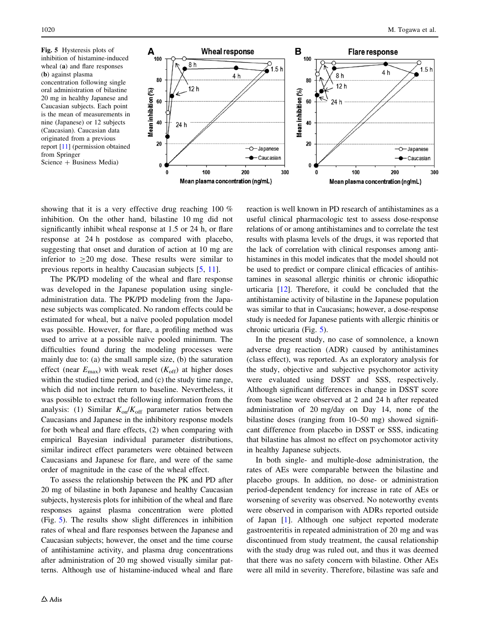Fig. 5 Hysteresis plots of inhibition of histamine-induced wheal (a) and flare responses (b) against plasma concentration following single oral administration of bilastine 20 mg in healthy Japanese and Caucasian subjects. Each point is the mean of measurements in nine (Japanese) or 12 subjects (Caucasian). Caucasian data originated from a previous report [\[11\]](#page-10-0) (permission obtained from Springer  $Science + Business Media)$ 



showing that it is a very effective drug reaching 100 % inhibition. On the other hand, bilastine 10 mg did not significantly inhibit wheal response at 1.5 or 24 h, or flare response at 24 h postdose as compared with placebo, suggesting that onset and duration of action at 10 mg are inferior to  $\geq 20$  mg dose. These results were similar to previous reports in healthy Caucasian subjects [\[5](#page-10-0), [11\]](#page-10-0).

The PK/PD modeling of the wheal and flare response was developed in the Japanese population using singleadministration data. The PK/PD modeling from the Japanese subjects was complicated. No random effects could be estimated for wheal, but a naïve pooled population model was possible. However, for flare, a profiling method was used to arrive at a possible naïve pooled minimum. The difficulties found during the modeling processes were mainly due to: (a) the small sample size, (b) the saturation effect (near  $E_{\text{max}}$ ) with weak reset ( $K_{\text{off}}$ ) at higher doses within the studied time period, and (c) the study time range, which did not include return to baseline. Nevertheless, it was possible to extract the following information from the analysis: (1) Similar  $K_{on}/K_{off}$  parameter ratios between Caucasians and Japanese in the inhibitory response models for both wheal and flare effects, (2) when comparing with empirical Bayesian individual parameter distributions, similar indirect effect parameters were obtained between Caucasians and Japanese for flare, and were of the same order of magnitude in the case of the wheal effect.

To assess the relationship between the PK and PD after 20 mg of bilastine in both Japanese and healthy Caucasian subjects, hysteresis plots for inhibition of the wheal and flare responses against plasma concentration were plotted (Fig. 5). The results show slight differences in inhibition rates of wheal and flare responses between the Japanese and Caucasian subjects; however, the onset and the time course of antihistamine activity, and plasma drug concentrations after administration of 20 mg showed visually similar patterns. Although use of histamine-induced wheal and flare reaction is well known in PD research of antihistamines as a useful clinical pharmacologic test to assess dose-response relations of or among antihistamines and to correlate the test results with plasma levels of the drugs, it was reported that the lack of correlation with clinical responses among antihistamines in this model indicates that the model should not be used to predict or compare clinical efficacies of antihistamines in seasonal allergic rhinitis or chronic idiopathic urticaria [\[12](#page-10-0)]. Therefore, it could be concluded that the antihistamine activity of bilastine in the Japanese population was similar to that in Caucasians; however, a dose-response study is needed for Japanese patients with allergic rhinitis or chronic urticaria (Fig. 5).

In the present study, no case of somnolence, a known adverse drug reaction (ADR) caused by antihistamines (class effect), was reported. As an exploratory analysis for the study, objective and subjective psychomotor activity were evaluated using DSST and SSS, respectively. Although significant differences in change in DSST score from baseline were observed at 2 and 24 h after repeated administration of 20 mg/day on Day 14, none of the bilastine doses (ranging from 10–50 mg) showed significant difference from placebo in DSST or SSS, indicating that bilastine has almost no effect on psychomotor activity in healthy Japanese subjects.

In both single- and multiple-dose administration, the rates of AEs were comparable between the bilastine and placebo groups. In addition, no dose- or administration period-dependent tendency for increase in rate of AEs or worsening of severity was observed. No noteworthy events were observed in comparison with ADRs reported outside of Japan [\[1](#page-10-0)]. Although one subject reported moderate gastroenteritis in repeated administration of 20 mg and was discontinued from study treatment, the causal relationship with the study drug was ruled out, and thus it was deemed that there was no safety concern with bilastine. Other AEs were all mild in severity. Therefore, bilastine was safe and